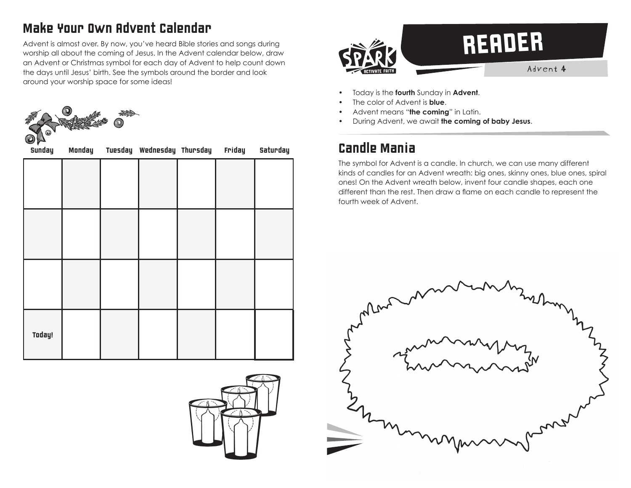## Make Your Own Advent Calendar

Advent is almost over. By now, you've heard Bible stories and songs during worship all about the coming of Jesus. In the Advent calendar below, draw an Advent or Christmas symbol for each day of Advent to help count down the days until Jesus' birth. See the symbols around the border and look around your worship space for some ideas!



| Sunday | Monday | Tuesday Wednesday Thursday | Friday | Saturday |
|--------|--------|----------------------------|--------|----------|
|        |        |                            |        |          |
|        |        |                            |        |          |
|        |        |                            |        |          |
|        |        |                            |        |          |
|        |        |                            |        |          |
|        |        |                            |        |          |
| Today! |        |                            |        |          |
|        |        |                            |        |          |





- Today is the **fourth** Sunday in **Advent**.
- The color of Advent is **blue**.
- Advent means "**the coming**" in Latin.
- During Advent, we await **the coming of baby Jesus**.

## Candle Mania

The symbol for Advent is a candle. In church, we can use many different kinds of candles for an Advent wreath: big ones, skinny ones, blue ones, spiral ones! On the Advent wreath below, invent four candle shapes, each one different than the rest. Then draw a flame on each candle to represent the fourth week of Advent.